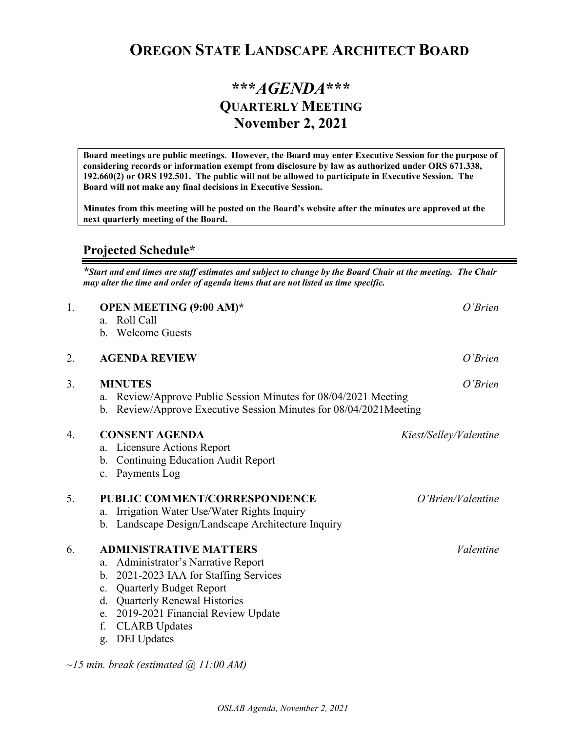## **OREGON STATE LANDSCAPE ARCHITECT BOARD**

## **\*\*\****AGENDA***\*\*\* QUARTERLY MEETING November 2, 2021**

**Board meetings are public meetings. However, the Board may enter Executive Session for the purpose of considering records or information exempt from disclosure by law as authorized under ORS 671.338, 192.660(2) or ORS 192.501. The public will not be allowed to participate in Executive Session. The Board will not make any final decisions in Executive Session.** 

**Minutes from this meeting will be posted on the Board's website after the minutes are approved at the next quarterly meeting of the Board.**

## **Projected Schedule\***

*\*Start and end times are staff estimates and subject to change by the Board Chair at the meeting. The Chair may alter the time and order of agenda items that are not listed as time specific.* 

| 1. | <b>OPEN MEETING (9:00 AM)*</b>                                       | $O'$ <i>Brien</i>      |
|----|----------------------------------------------------------------------|------------------------|
|    | Roll Call<br>a.                                                      |                        |
|    | b. Welcome Guests                                                    |                        |
| 2. | <b>AGENDA REVIEW</b>                                                 | $O'$ Brien             |
| 3. | <b>MINUTES</b>                                                       | $O'$ Brien             |
|    | Review/Approve Public Session Minutes for 08/04/2021 Meeting<br>a.   |                        |
|    | Review/Approve Executive Session Minutes for 08/04/2021Meeting<br>b. |                        |
| 4. | <b>CONSENT AGENDA</b>                                                | Kiest/Selley/Valentine |
|    | Licensure Actions Report<br>a.                                       |                        |
|    | <b>Continuing Education Audit Report</b><br>b.                       |                        |
|    | c. Payments Log                                                      |                        |
| 5. | <b>PUBLIC COMMENT/CORRESPONDENCE</b>                                 | O'Brien/Valentine      |
|    | Irrigation Water Use/Water Rights Inquiry<br>a.                      |                        |
|    | Landscape Design/Landscape Architecture Inquiry<br>b.                |                        |
| 6. | <b>ADMINISTRATIVE MATTERS</b>                                        | Valentine              |
|    | Administrator's Narrative Report<br>a.                               |                        |
|    | 2021-2023 IAA for Staffing Services<br>b.                            |                        |
|    | <b>Quarterly Budget Report</b><br>c.                                 |                        |
|    | d. Quarterly Renewal Histories                                       |                        |
|    | 2019-2021 Financial Review Update<br>e.                              |                        |
|    | f.<br><b>CLARB</b> Updates                                           |                        |
|    | <b>DEI</b> Updates<br>g.                                             |                        |
|    |                                                                      |                        |
|    | $\sim$ 15 min. break (estimated $\omega$ 11:00 AM)                   |                        |